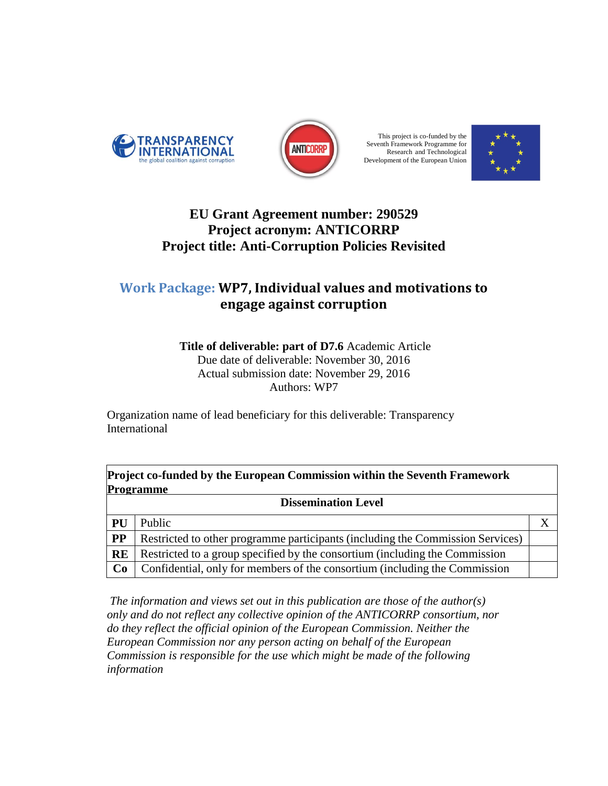



This project is co-funded by the Seventh Framework Programme for Research and Technological Development of the European Union



# **EU Grant Agreement number: 290529 Project acronym: ANTICORRP Project title: Anti-Corruption Policies Revisited**

# **Work Package: WP7, Individual values and motivations to engage against corruption**

**Title of deliverable: part of D7.6** Academic Article Due date of deliverable: November 30, 2016 Actual submission date: November 29, 2016 Authors: WP7

Organization name of lead beneficiary for this deliverable: Transparency International

**Project co-funded by the European Commission within the Seventh Framework Programme**

| <b>Dissemination Level</b> |                                                                                |  |
|----------------------------|--------------------------------------------------------------------------------|--|
| PU                         | Public                                                                         |  |
| $\bf PP$                   | Restricted to other programme participants (including the Commission Services) |  |
| <b>RE</b>                  | Restricted to a group specified by the consortium (including the Commission    |  |
| Co                         | Confidential, only for members of the consortium (including the Commission     |  |
|                            |                                                                                |  |

*The information and views set out in this publication are those of the author(s) only and do not reflect any collective opinion of the ANTICORRP consortium, nor do they reflect the official opinion of the European Commission. Neither the European Commission nor any person acting on behalf of the European Commission is responsible for the use which might be made of the following information*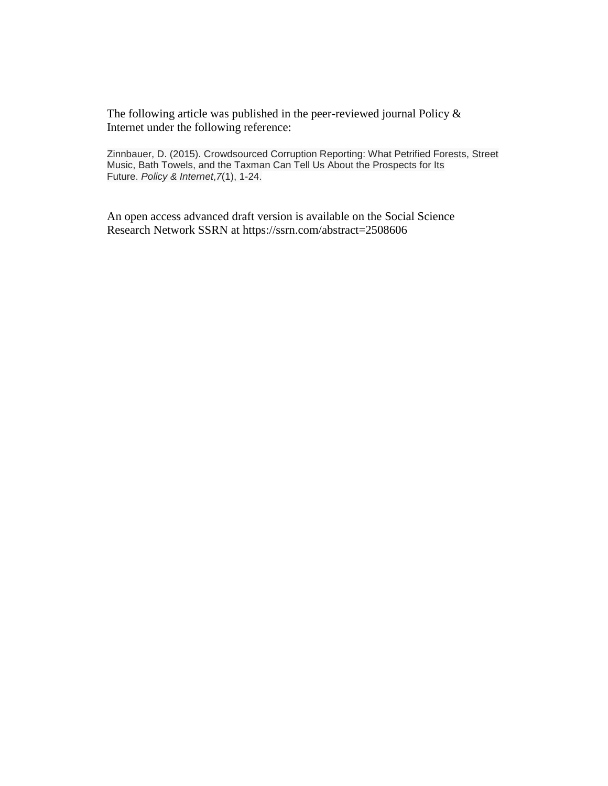The following article was published in the peer-reviewed journal Policy & Internet under the following reference:

Zinnbauer, D. (2015). Crowdsourced Corruption Reporting: What Petrified Forests, Street Music, Bath Towels, and the Taxman Can Tell Us About the Prospects for Its Future. *Policy & Internet*,*7*(1), 1-24.

An open access advanced draft version is available on the Social Science Research Network SSRN at https://ssrn.com/abstract=2508606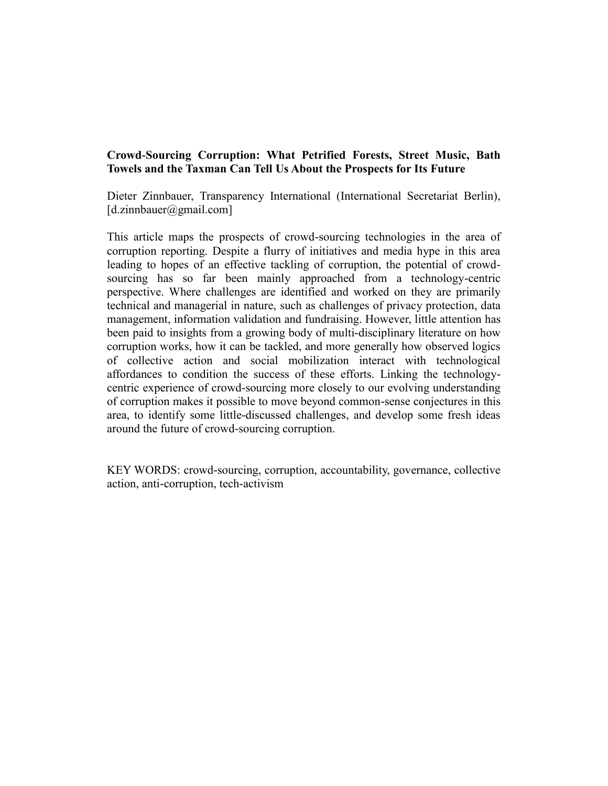## **Crowd-Sourcing Corruption: What Petrified Forests, Street Music, Bath Towels and the Taxman Can Tell Us About the Prospects for Its Future**

Dieter Zinnbauer, Transparency International (International Secretariat Berlin),  $[d.zinnbauer@gmail.com]$ 

This article maps the prospects of crowd-sourcing technologies in the area of corruption reporting. Despite a flurry of initiatives and media hype in this area leading to hopes of an effective tackling of corruption, the potential of crowdsourcing has so far been mainly approached from a technology-centric perspective. Where challenges are identified and worked on they are primarily technical and managerial in nature, such as challenges of privacy protection, data management, information validation and fundraising. However, little attention has been paid to insights from a growing body of multi-disciplinary literature on how corruption works, how it can be tackled, and more generally how observed logics of collective action and social mobilization interact with technological affordances to condition the success of these efforts. Linking the technologycentric experience of crowd-sourcing more closely to our evolving understanding of corruption makes it possible to move beyond common-sense conjectures in this area, to identify some little-discussed challenges, and develop some fresh ideas around the future of crowd-sourcing corruption.

KEY WORDS: crowd-sourcing, corruption, accountability, governance, collective action, anti-corruption, tech-activism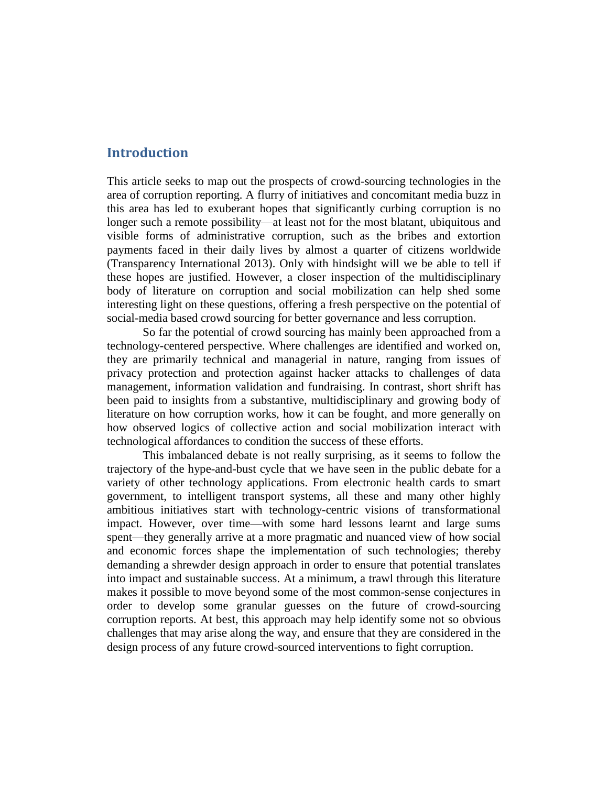# **Introduction**

This article seeks to map out the prospects of crowd-sourcing technologies in the area of corruption reporting. A flurry of initiatives and concomitant media buzz in this area has led to exuberant hopes that significantly curbing corruption is no longer such a remote possibility—at least not for the most blatant, ubiquitous and visible forms of administrative corruption, such as the bribes and extortion payments faced in their daily lives by almost a quarter of citizens worldwide (Transparency International 2013). Only with hindsight will we be able to tell if these hopes are justified. However, a closer inspection of the multidisciplinary body of literature on corruption and social mobilization can help shed some interesting light on these questions, offering a fresh perspective on the potential of social-media based crowd sourcing for better governance and less corruption.

So far the potential of crowd sourcing has mainly been approached from a technology-centered perspective. Where challenges are identified and worked on, they are primarily technical and managerial in nature, ranging from issues of privacy protection and protection against hacker attacks to challenges of data management, information validation and fundraising. In contrast, short shrift has been paid to insights from a substantive, multidisciplinary and growing body of literature on how corruption works, how it can be fought, and more generally on how observed logics of collective action and social mobilization interact with technological affordances to condition the success of these efforts.

This imbalanced debate is not really surprising, as it seems to follow the trajectory of the hype-and-bust cycle that we have seen in the public debate for a variety of other technology applications. From electronic health cards to smart government, to intelligent transport systems, all these and many other highly ambitious initiatives start with technology-centric visions of transformational impact. However, over time—with some hard lessons learnt and large sums spent—they generally arrive at a more pragmatic and nuanced view of how social and economic forces shape the implementation of such technologies; thereby demanding a shrewder design approach in order to ensure that potential translates into impact and sustainable success. At a minimum, a trawl through this literature makes it possible to move beyond some of the most common-sense conjectures in order to develop some granular guesses on the future of crowd-sourcing corruption reports. At best, this approach may help identify some not so obvious challenges that may arise along the way, and ensure that they are considered in the design process of any future crowd-sourced interventions to fight corruption.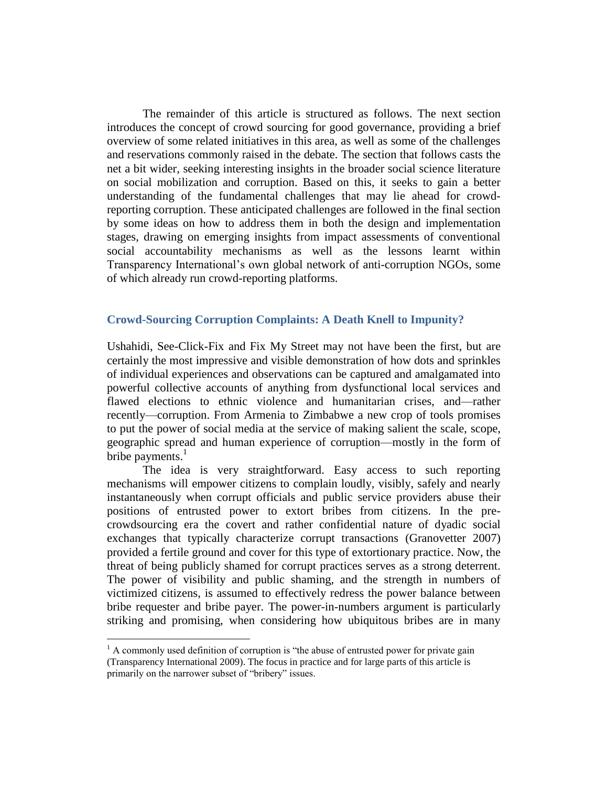The remainder of this article is structured as follows. The next section introduces the concept of crowd sourcing for good governance, providing a brief overview of some related initiatives in this area, as well as some of the challenges and reservations commonly raised in the debate. The section that follows casts the net a bit wider, seeking interesting insights in the broader social science literature on social mobilization and corruption. Based on this, it seeks to gain a better understanding of the fundamental challenges that may lie ahead for crowdreporting corruption. These anticipated challenges are followed in the final section by some ideas on how to address them in both the design and implementation stages, drawing on emerging insights from impact assessments of conventional social accountability mechanisms as well as the lessons learnt within Transparency International's own global network of anti-corruption NGOs, some of which already run crowd-reporting platforms.

### **Crowd-Sourcing Corruption Complaints: A Death Knell to Impunity?**

Ushahidi, See-Click-Fix and Fix My Street may not have been the first, but are certainly the most impressive and visible demonstration of how dots and sprinkles of individual experiences and observations can be captured and amalgamated into powerful collective accounts of anything from dysfunctional local services and flawed elections to ethnic violence and humanitarian crises, and—rather recently—corruption. From Armenia to Zimbabwe a new crop of tools promises to put the power of social media at the service of making salient the scale, scope, geographic spread and human experience of corruption—mostly in the form of bribe payments. $1$ 

The idea is very straightforward. Easy access to such reporting mechanisms will empower citizens to complain loudly, visibly, safely and nearly instantaneously when corrupt officials and public service providers abuse their positions of entrusted power to extort bribes from citizens. In the precrowdsourcing era the covert and rather confidential nature of dyadic social exchanges that typically characterize corrupt transactions (Granovetter 2007) provided a fertile ground and cover for this type of extortionary practice. Now, the threat of being publicly shamed for corrupt practices serves as a strong deterrent. The power of visibility and public shaming, and the strength in numbers of victimized citizens, is assumed to effectively redress the power balance between bribe requester and bribe payer. The power-in-numbers argument is particularly striking and promising, when considering how ubiquitous bribes are in many

 $<sup>1</sup>$  A commonly used definition of corruption is "the abuse of entrusted power for private gain</sup> (Transparency International 2009). The focus in practice and for large parts of this article is primarily on the narrower subset of "bribery" issues.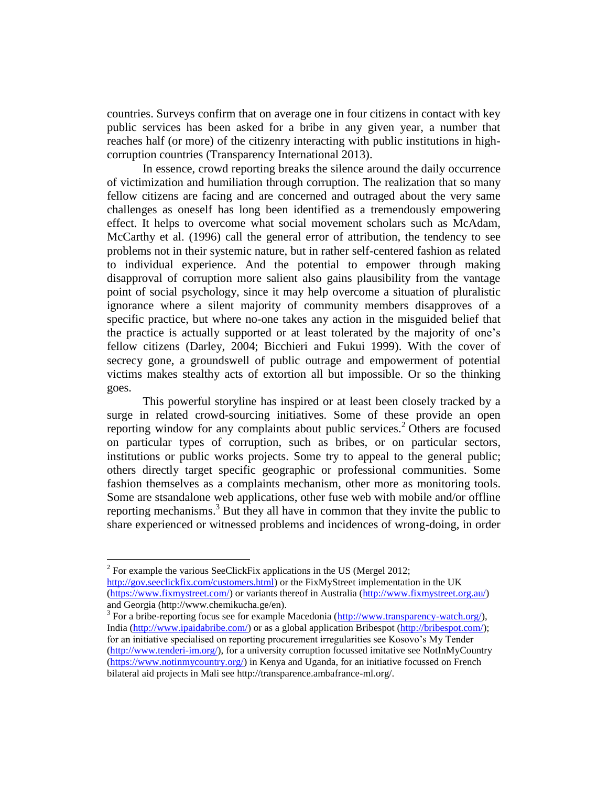countries. Surveys confirm that on average one in four citizens in contact with key public services has been asked for a bribe in any given year, a number that reaches half (or more) of the citizenry interacting with public institutions in highcorruption countries (Transparency International 2013).

In essence, crowd reporting breaks the silence around the daily occurrence of victimization and humiliation through corruption. The realization that so many fellow citizens are facing and are concerned and outraged about the very same challenges as oneself has long been identified as a tremendously empowering effect. It helps to overcome what social movement scholars such as McAdam, McCarthy et al. (1996) call the general error of attribution, the tendency to see problems not in their systemic nature, but in rather self-centered fashion as related to individual experience. And the potential to empower through making disapproval of corruption more salient also gains plausibility from the vantage point of social psychology, since it may help overcome a situation of pluralistic ignorance where a silent majority of community members disapproves of a specific practice, but where no-one takes any action in the misguided belief that the practice is actually supported or at least tolerated by the majority of one's fellow citizens (Darley, 2004; Bicchieri and Fukui 1999). With the cover of secrecy gone, a groundswell of public outrage and empowerment of potential victims makes stealthy acts of extortion all but impossible. Or so the thinking goes.

This powerful storyline has inspired or at least been closely tracked by a surge in related crowd-sourcing initiatives. Some of these provide an open reporting window for any complaints about public services. <sup>2</sup> Others are focused on particular types of corruption, such as bribes, or on particular sectors, institutions or public works projects. Some try to appeal to the general public; others directly target specific geographic or professional communities. Some fashion themselves as a complaints mechanism, other more as monitoring tools. Some are stsandalone web applications, other fuse web with mobile and/or offline reporting mechanisms.<sup>3</sup> But they all have in common that they invite the public to share experienced or witnessed problems and incidences of wrong-doing, in order

 $2^2$  For example the various SeeClickFix applications in the US (Mergel 2012; [http://gov.seeclickfix.com/customers.html\)](http://gov.seeclickfix.com/customers.html) or the FixMyStreet implementation in the UK [\(https://www.fixmystreet.com/\)](https://www.fixmystreet.com/) or variants thereof in Australia [\(http://www.fixmystreet.org.au/\)](http://www.fixmystreet.org.au/) and Georgia (http://www.chemikucha.ge/en).

<sup>&</sup>lt;sup>3</sup> For a bribe-reporting focus see for example Macedonia ( $\frac{http://www.transparency-watch.org/}{http://www.transparency-watch.org/}$ ), India [\(http://www.ipaidabribe.com/\)](http://www.ipaidabribe.com/) or as a global application Bribespot [\(http://bribespot.com/\)](http://bribespot.com/); for an initiative specialised on reporting procurement irregularities see Kosovo's My Tender [\(http://www.tenderi-im.org/\)](http://www.tenderi-im.org/), for a university corruption focussed imitative see NotInMyCountry [\(https://www.notinmycountry.org/\)](https://www.notinmycountry.org/) in Kenya and Uganda, for an initiative focussed on French bilateral aid projects in Mali see http://transparence.ambafrance-ml.org/.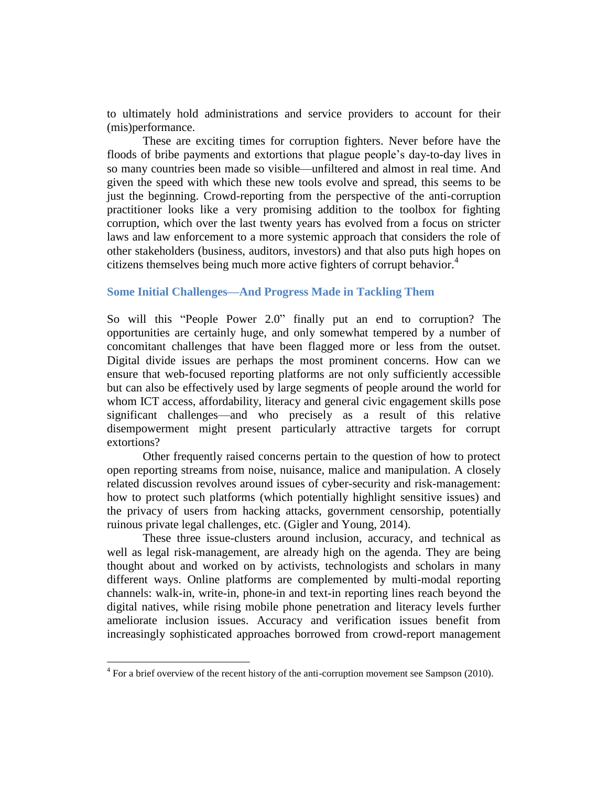to ultimately hold administrations and service providers to account for their (mis)performance.

These are exciting times for corruption fighters. Never before have the floods of bribe payments and extortions that plague people's day-to-day lives in so many countries been made so visible—unfiltered and almost in real time. And given the speed with which these new tools evolve and spread, this seems to be just the beginning. Crowd-reporting from the perspective of the anti-corruption practitioner looks like a very promising addition to the toolbox for fighting corruption, which over the last twenty years has evolved from a focus on stricter laws and law enforcement to a more systemic approach that considers the role of other stakeholders (business, auditors, investors) and that also puts high hopes on citizens themselves being much more active fighters of corrupt behavior.<sup>4</sup>

#### **Some Initial Challenges—And Progress Made in Tackling Them**

So will this "People Power 2.0" finally put an end to corruption? The opportunities are certainly huge, and only somewhat tempered by a number of concomitant challenges that have been flagged more or less from the outset. Digital divide issues are perhaps the most prominent concerns. How can we ensure that web-focused reporting platforms are not only sufficiently accessible but can also be effectively used by large segments of people around the world for whom ICT access, affordability, literacy and general civic engagement skills pose significant challenges—and who precisely as a result of this relative disempowerment might present particularly attractive targets for corrupt extortions?

Other frequently raised concerns pertain to the question of how to protect open reporting streams from noise, nuisance, malice and manipulation. A closely related discussion revolves around issues of cyber-security and risk-management: how to protect such platforms (which potentially highlight sensitive issues) and the privacy of users from hacking attacks, government censorship, potentially ruinous private legal challenges, etc. (Gigler and Young, 2014).

These three issue-clusters around inclusion, accuracy, and technical as well as legal risk-management, are already high on the agenda. They are being thought about and worked on by activists, technologists and scholars in many different ways. Online platforms are complemented by multi-modal reporting channels: walk-in, write-in, phone-in and text-in reporting lines reach beyond the digital natives, while rising mobile phone penetration and literacy levels further ameliorate inclusion issues. Accuracy and verification issues benefit from increasingly sophisticated approaches borrowed from crowd-report management

 $4$  For a brief overview of the recent history of the anti-corruption movement see Sampson (2010).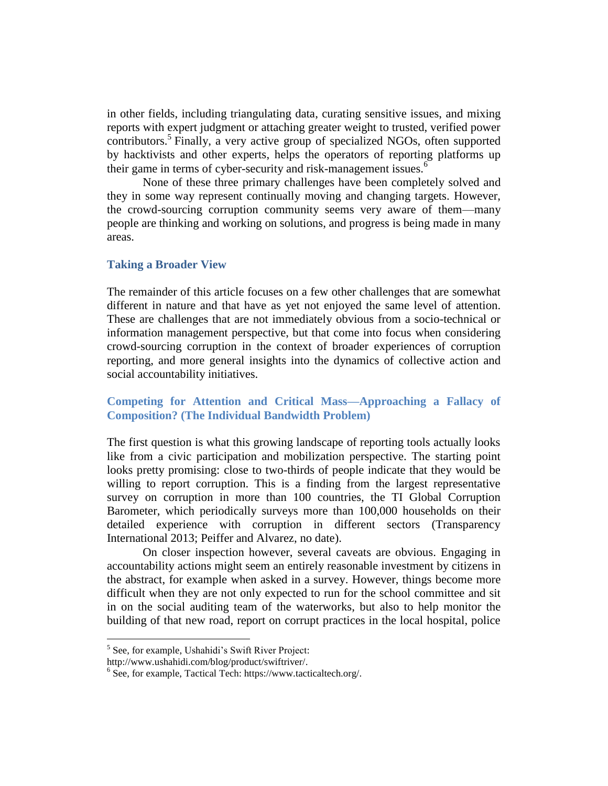in other fields, including triangulating data, curating sensitive issues, and mixing reports with expert judgment or attaching greater weight to trusted, verified power contributors.<sup>5</sup> Finally, a very active group of specialized NGOs, often supported by hacktivists and other experts, helps the operators of reporting platforms up their game in terms of cyber-security and risk-management issues. 6

None of these three primary challenges have been completely solved and they in some way represent continually moving and changing targets. However, the crowd-sourcing corruption community seems very aware of them—many people are thinking and working on solutions, and progress is being made in many areas.

#### **Taking a Broader View**

The remainder of this article focuses on a few other challenges that are somewhat different in nature and that have as yet not enjoyed the same level of attention. These are challenges that are not immediately obvious from a socio-technical or information management perspective, but that come into focus when considering crowd-sourcing corruption in the context of broader experiences of corruption reporting, and more general insights into the dynamics of collective action and social accountability initiatives.

## **Competing for Attention and Critical Mass—Approaching a Fallacy of Composition? (The Individual Bandwidth Problem)**

The first question is what this growing landscape of reporting tools actually looks like from a civic participation and mobilization perspective. The starting point looks pretty promising: close to two-thirds of people indicate that they would be willing to report corruption. This is a finding from the largest representative survey on corruption in more than 100 countries, the TI Global Corruption Barometer, which periodically surveys more than 100,000 households on their detailed experience with corruption in different sectors (Transparency International 2013; Peiffer and Alvarez, no date).

On closer inspection however, several caveats are obvious. Engaging in accountability actions might seem an entirely reasonable investment by citizens in the abstract, for example when asked in a survey. However, things become more difficult when they are not only expected to run for the school committee and sit in on the social auditing team of the waterworks, but also to help monitor the building of that new road, report on corrupt practices in the local hospital, police

<sup>&</sup>lt;sup>5</sup> See, for example, Ushahidi's Swift River Project:

http://www.ushahidi.com/blog/product/swiftriver/.

<sup>6</sup> See, for example, Tactical Tech: https://www.tacticaltech.org/.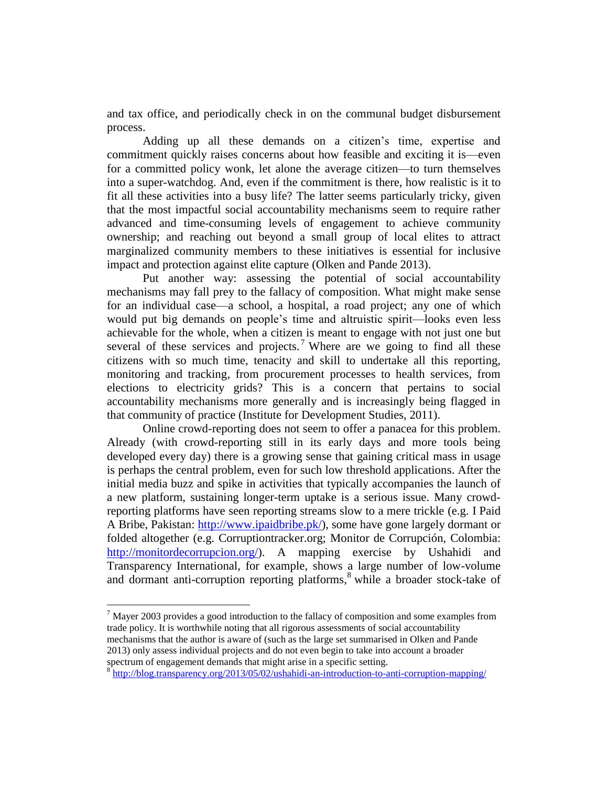and tax office, and periodically check in on the communal budget disbursement process.

Adding up all these demands on a citizen's time, expertise and commitment quickly raises concerns about how feasible and exciting it is—even for a committed policy wonk, let alone the average citizen—to turn themselves into a super-watchdog. And, even if the commitment is there, how realistic is it to fit all these activities into a busy life? The latter seems particularly tricky, given that the most impactful social accountability mechanisms seem to require rather advanced and time-consuming levels of engagement to achieve community ownership; and reaching out beyond a small group of local elites to attract marginalized community members to these initiatives is essential for inclusive impact and protection against elite capture (Olken and Pande 2013).

Put another way: assessing the potential of social accountability mechanisms may fall prey to the fallacy of composition. What might make sense for an individual case—a school, a hospital, a road project; any one of which would put big demands on people's time and altruistic spirit—looks even less achievable for the whole, when a citizen is meant to engage with not just one but several of these services and projects.<sup>7</sup> Where are we going to find all these citizens with so much time, tenacity and skill to undertake all this reporting, monitoring and tracking, from procurement processes to health services, from elections to electricity grids? This is a concern that pertains to social accountability mechanisms more generally and is increasingly being flagged in that community of practice (Institute for Development Studies, 2011).

Online crowd-reporting does not seem to offer a panacea for this problem. Already (with crowd-reporting still in its early days and more tools being developed every day) there is a growing sense that gaining critical mass in usage is perhaps the central problem, even for such low threshold applications. After the initial media buzz and spike in activities that typically accompanies the launch of a new platform, sustaining longer-term uptake is a serious issue. Many crowdreporting platforms have seen reporting streams slow to a mere trickle (e.g. I Paid A Bribe, Pakistan: [http://www.ipaidbribe.pk/\)](http://www.ipaidbribe.pk/), some have gone largely dormant or folded altogether (e.g. Corruptiontracker.org; Monitor de Corrupción, Colombia: [http://monitordecorrupcion.org/\)](http://monitordecorrupcion.org/). A mapping exercise by Ushahidi and Transparency International, for example, shows a large number of low-volume and dormant anti-corruption reporting platforms, <sup>8</sup> while a broader stock-take of

<sup>7</sup> Mayer 2003 provides a good introduction to the fallacy of composition and some examples from trade policy. It is worthwhile noting that all rigorous assessments of social accountability mechanisms that the author is aware of (such as the large set summarised in Olken and Pande 2013) only assess individual projects and do not even begin to take into account a broader spectrum of engagement demands that might arise in a specific setting.

<sup>&</sup>lt;sup>8</sup><http://blog.transparency.org/2013/05/02/ushahidi-an-introduction-to-anti-corruption-mapping/>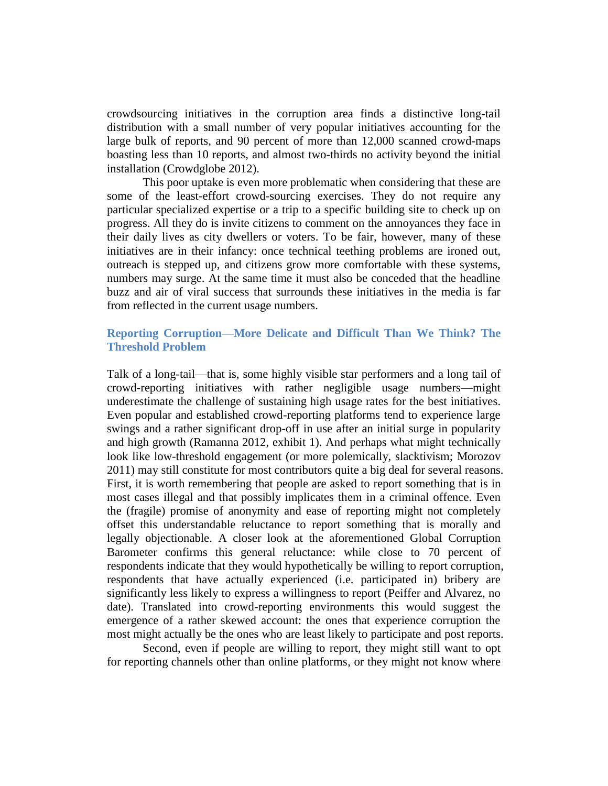crowdsourcing initiatives in the corruption area finds a distinctive long-tail distribution with a small number of very popular initiatives accounting for the large bulk of reports, and 90 percent of more than 12,000 scanned crowd-maps boasting less than 10 reports, and almost two-thirds no activity beyond the initial installation (Crowdglobe 2012).

This poor uptake is even more problematic when considering that these are some of the least-effort crowd-sourcing exercises. They do not require any particular specialized expertise or a trip to a specific building site to check up on progress. All they do is invite citizens to comment on the annoyances they face in their daily lives as city dwellers or voters. To be fair, however, many of these initiatives are in their infancy: once technical teething problems are ironed out, outreach is stepped up, and citizens grow more comfortable with these systems, numbers may surge. At the same time it must also be conceded that the headline buzz and air of viral success that surrounds these initiatives in the media is far from reflected in the current usage numbers.

## **Reporting Corruption—More Delicate and Difficult Than We Think? The Threshold Problem**

Talk of a long-tail—that is, some highly visible star performers and a long tail of crowd-reporting initiatives with rather negligible usage numbers—might underestimate the challenge of sustaining high usage rates for the best initiatives. Even popular and established crowd-reporting platforms tend to experience large swings and a rather significant drop-off in use after an initial surge in popularity and high growth (Ramanna 2012, exhibit 1). And perhaps what might technically look like low-threshold engagement (or more polemically, slacktivism; Morozov 2011) may still constitute for most contributors quite a big deal for several reasons. First, it is worth remembering that people are asked to report something that is in most cases illegal and that possibly implicates them in a criminal offence. Even the (fragile) promise of anonymity and ease of reporting might not completely offset this understandable reluctance to report something that is morally and legally objectionable. A closer look at the aforementioned Global Corruption Barometer confirms this general reluctance: while close to 70 percent of respondents indicate that they would hypothetically be willing to report corruption, respondents that have actually experienced (i.e. participated in) bribery are significantly less likely to express a willingness to report (Peiffer and Alvarez, no date). Translated into crowd-reporting environments this would suggest the emergence of a rather skewed account: the ones that experience corruption the most might actually be the ones who are least likely to participate and post reports.

Second, even if people are willing to report, they might still want to opt for reporting channels other than online platforms, or they might not know where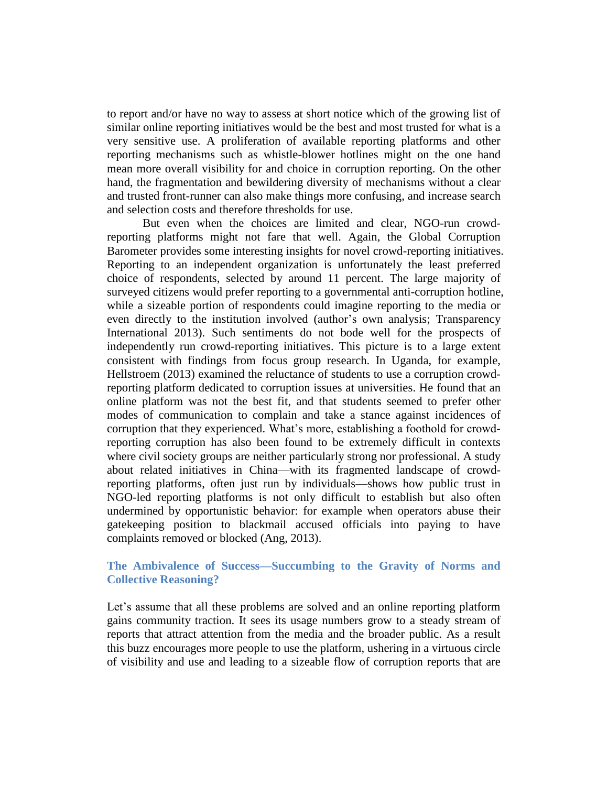to report and/or have no way to assess at short notice which of the growing list of similar online reporting initiatives would be the best and most trusted for what is a very sensitive use. A proliferation of available reporting platforms and other reporting mechanisms such as whistle-blower hotlines might on the one hand mean more overall visibility for and choice in corruption reporting. On the other hand, the fragmentation and bewildering diversity of mechanisms without a clear and trusted front-runner can also make things more confusing, and increase search and selection costs and therefore thresholds for use.

But even when the choices are limited and clear, NGO-run crowdreporting platforms might not fare that well. Again, the Global Corruption Barometer provides some interesting insights for novel crowd-reporting initiatives. Reporting to an independent organization is unfortunately the least preferred choice of respondents, selected by around 11 percent. The large majority of surveyed citizens would prefer reporting to a governmental anti-corruption hotline, while a sizeable portion of respondents could imagine reporting to the media or even directly to the institution involved (author's own analysis; Transparency International 2013). Such sentiments do not bode well for the prospects of independently run crowd-reporting initiatives. This picture is to a large extent consistent with findings from focus group research. In Uganda, for example, Hellstroem (2013) examined the reluctance of students to use a corruption crowdreporting platform dedicated to corruption issues at universities. He found that an online platform was not the best fit, and that students seemed to prefer other modes of communication to complain and take a stance against incidences of corruption that they experienced. What's more, establishing a foothold for crowdreporting corruption has also been found to be extremely difficult in contexts where civil society groups are neither particularly strong nor professional. A study about related initiatives in China—with its fragmented landscape of crowdreporting platforms, often just run by individuals—shows how public trust in NGO-led reporting platforms is not only difficult to establish but also often undermined by opportunistic behavior: for example when operators abuse their gatekeeping position to blackmail accused officials into paying to have complaints removed or blocked (Ang, 2013).

## **The Ambivalence of Success—Succumbing to the Gravity of Norms and Collective Reasoning?**

Let's assume that all these problems are solved and an online reporting platform gains community traction. It sees its usage numbers grow to a steady stream of reports that attract attention from the media and the broader public. As a result this buzz encourages more people to use the platform, ushering in a virtuous circle of visibility and use and leading to a sizeable flow of corruption reports that are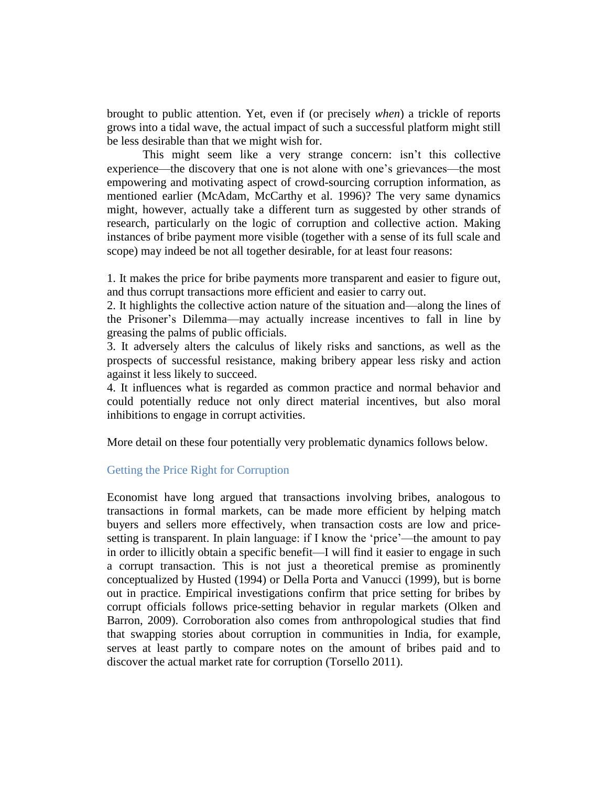brought to public attention. Yet, even if (or precisely *when*) a trickle of reports grows into a tidal wave, the actual impact of such a successful platform might still be less desirable than that we might wish for.

This might seem like a very strange concern: isn't this collective experience—the discovery that one is not alone with one's grievances—the most empowering and motivating aspect of crowd-sourcing corruption information, as mentioned earlier (McAdam, McCarthy et al. 1996)? The very same dynamics might, however, actually take a different turn as suggested by other strands of research, particularly on the logic of corruption and collective action. Making instances of bribe payment more visible (together with a sense of its full scale and scope) may indeed be not all together desirable, for at least four reasons:

1. It makes the price for bribe payments more transparent and easier to figure out, and thus corrupt transactions more efficient and easier to carry out.

2. It highlights the collective action nature of the situation and—along the lines of the Prisoner's Dilemma—may actually increase incentives to fall in line by greasing the palms of public officials.

3. It adversely alters the calculus of likely risks and sanctions, as well as the prospects of successful resistance, making bribery appear less risky and action against it less likely to succeed.

4. It influences what is regarded as common practice and normal behavior and could potentially reduce not only direct material incentives, but also moral inhibitions to engage in corrupt activities.

More detail on these four potentially very problematic dynamics follows below.

## Getting the Price Right for Corruption

Economist have long argued that transactions involving bribes, analogous to transactions in formal markets, can be made more efficient by helping match buyers and sellers more effectively, when transaction costs are low and pricesetting is transparent. In plain language: if I know the 'price'—the amount to pay in order to illicitly obtain a specific benefit—I will find it easier to engage in such a corrupt transaction. This is not just a theoretical premise as prominently conceptualized by Husted (1994) or Della Porta and Vanucci (1999), but is borne out in practice. Empirical investigations confirm that price setting for bribes by corrupt officials follows price-setting behavior in regular markets (Olken and Barron, 2009). Corroboration also comes from anthropological studies that find that swapping stories about corruption in communities in India, for example, serves at least partly to compare notes on the amount of bribes paid and to discover the actual market rate for corruption (Torsello 2011).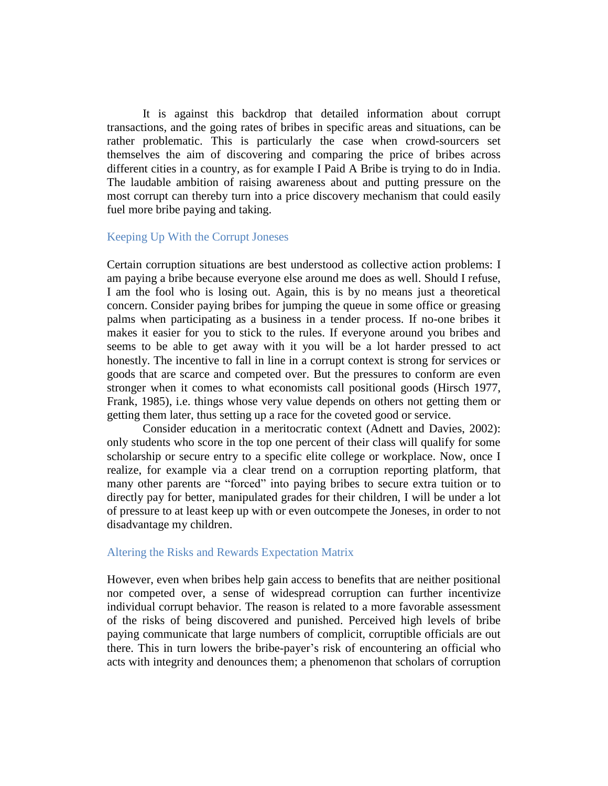It is against this backdrop that detailed information about corrupt transactions, and the going rates of bribes in specific areas and situations, can be rather problematic. This is particularly the case when crowd-sourcers set themselves the aim of discovering and comparing the price of bribes across different cities in a country, as for example I Paid A Bribe is trying to do in India. The laudable ambition of raising awareness about and putting pressure on the most corrupt can thereby turn into a price discovery mechanism that could easily fuel more bribe paying and taking.

### Keeping Up With the Corrupt Joneses

Certain corruption situations are best understood as collective action problems: I am paying a bribe because everyone else around me does as well. Should I refuse, I am the fool who is losing out. Again, this is by no means just a theoretical concern. Consider paying bribes for jumping the queue in some office or greasing palms when participating as a business in a tender process. If no-one bribes it makes it easier for you to stick to the rules. If everyone around you bribes and seems to be able to get away with it you will be a lot harder pressed to act honestly. The incentive to fall in line in a corrupt context is strong for services or goods that are scarce and competed over. But the pressures to conform are even stronger when it comes to what economists call positional goods (Hirsch 1977, Frank, 1985), i.e. things whose very value depends on others not getting them or getting them later, thus setting up a race for the coveted good or service.

Consider education in a meritocratic context (Adnett and Davies, 2002): only students who score in the top one percent of their class will qualify for some scholarship or secure entry to a specific elite college or workplace. Now, once I realize, for example via a clear trend on a corruption reporting platform, that many other parents are "forced" into paying bribes to secure extra tuition or to directly pay for better, manipulated grades for their children, I will be under a lot of pressure to at least keep up with or even outcompete the Joneses, in order to not disadvantage my children.

#### Altering the Risks and Rewards Expectation Matrix

However, even when bribes help gain access to benefits that are neither positional nor competed over, a sense of widespread corruption can further incentivize individual corrupt behavior. The reason is related to a more favorable assessment of the risks of being discovered and punished. Perceived high levels of bribe paying communicate that large numbers of complicit, corruptible officials are out there. This in turn lowers the bribe-payer's risk of encountering an official who acts with integrity and denounces them; a phenomenon that scholars of corruption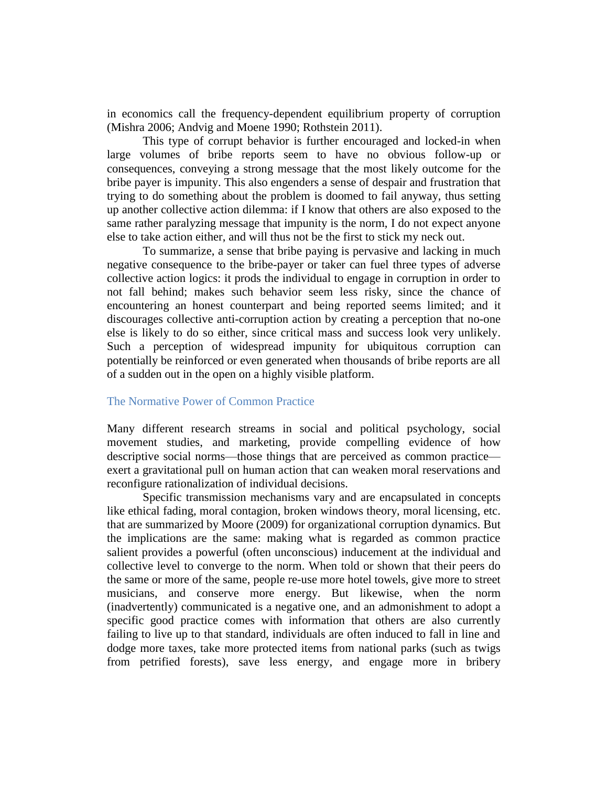in economics call the frequency-dependent equilibrium property of corruption (Mishra 2006; Andvig and Moene 1990; Rothstein 2011).

This type of corrupt behavior is further encouraged and locked-in when large volumes of bribe reports seem to have no obvious follow-up or consequences, conveying a strong message that the most likely outcome for the bribe payer is impunity. This also engenders a sense of despair and frustration that trying to do something about the problem is doomed to fail anyway, thus setting up another collective action dilemma: if I know that others are also exposed to the same rather paralyzing message that impunity is the norm, I do not expect anyone else to take action either, and will thus not be the first to stick my neck out.

To summarize, a sense that bribe paying is pervasive and lacking in much negative consequence to the bribe-payer or taker can fuel three types of adverse collective action logics: it prods the individual to engage in corruption in order to not fall behind; makes such behavior seem less risky, since the chance of encountering an honest counterpart and being reported seems limited; and it discourages collective anti-corruption action by creating a perception that no-one else is likely to do so either, since critical mass and success look very unlikely. Such a perception of widespread impunity for ubiquitous corruption can potentially be reinforced or even generated when thousands of bribe reports are all of a sudden out in the open on a highly visible platform.

### The Normative Power of Common Practice

Many different research streams in social and political psychology, social movement studies, and marketing, provide compelling evidence of how descriptive social norms—those things that are perceived as common practice exert a gravitational pull on human action that can weaken moral reservations and reconfigure rationalization of individual decisions.

Specific transmission mechanisms vary and are encapsulated in concepts like ethical fading, moral contagion, broken windows theory, moral licensing, etc. that are summarized by Moore (2009) for organizational corruption dynamics. But the implications are the same: making what is regarded as common practice salient provides a powerful (often unconscious) inducement at the individual and collective level to converge to the norm. When told or shown that their peers do the same or more of the same, people re-use more hotel towels, give more to street musicians, and conserve more energy. But likewise, when the norm (inadvertently) communicated is a negative one, and an admonishment to adopt a specific good practice comes with information that others are also currently failing to live up to that standard, individuals are often induced to fall in line and dodge more taxes, take more protected items from national parks (such as twigs from petrified forests), save less energy, and engage more in bribery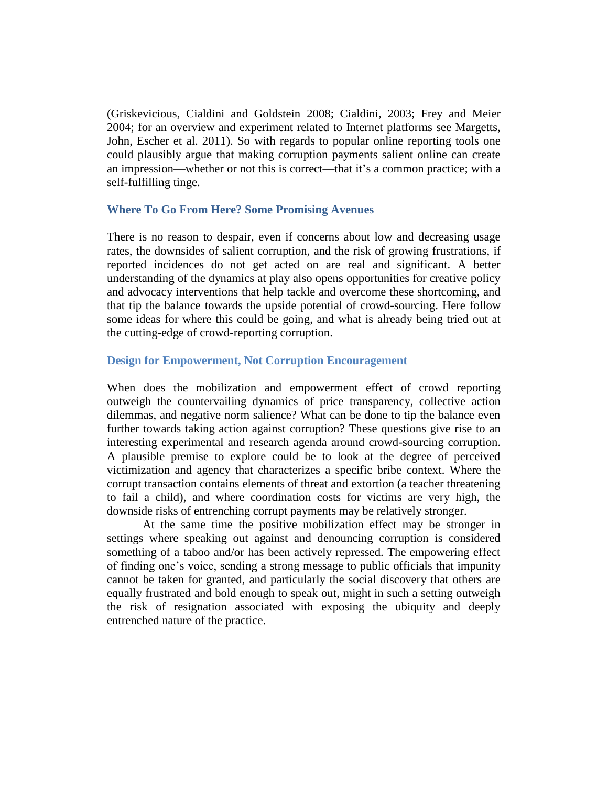(Griskevicious, Cialdini and Goldstein 2008; Cialdini, 2003; Frey and Meier 2004; for an overview and experiment related to Internet platforms see Margetts, John, Escher et al. 2011). So with regards to popular online reporting tools one could plausibly argue that making corruption payments salient online can create an impression—whether or not this is correct—that it's a common practice; with a self-fulfilling tinge.

### **Where To Go From Here? Some Promising Avenues**

There is no reason to despair, even if concerns about low and decreasing usage rates, the downsides of salient corruption, and the risk of growing frustrations, if reported incidences do not get acted on are real and significant. A better understanding of the dynamics at play also opens opportunities for creative policy and advocacy interventions that help tackle and overcome these shortcoming, and that tip the balance towards the upside potential of crowd-sourcing. Here follow some ideas for where this could be going, and what is already being tried out at the cutting-edge of crowd-reporting corruption.

### **Design for Empowerment, Not Corruption Encouragement**

When does the mobilization and empowerment effect of crowd reporting outweigh the countervailing dynamics of price transparency, collective action dilemmas, and negative norm salience? What can be done to tip the balance even further towards taking action against corruption? These questions give rise to an interesting experimental and research agenda around crowd-sourcing corruption. A plausible premise to explore could be to look at the degree of perceived victimization and agency that characterizes a specific bribe context. Where the corrupt transaction contains elements of threat and extortion (a teacher threatening to fail a child), and where coordination costs for victims are very high, the downside risks of entrenching corrupt payments may be relatively stronger.

At the same time the positive mobilization effect may be stronger in settings where speaking out against and denouncing corruption is considered something of a taboo and/or has been actively repressed. The empowering effect of finding one's voice, sending a strong message to public officials that impunity cannot be taken for granted, and particularly the social discovery that others are equally frustrated and bold enough to speak out, might in such a setting outweigh the risk of resignation associated with exposing the ubiquity and deeply entrenched nature of the practice.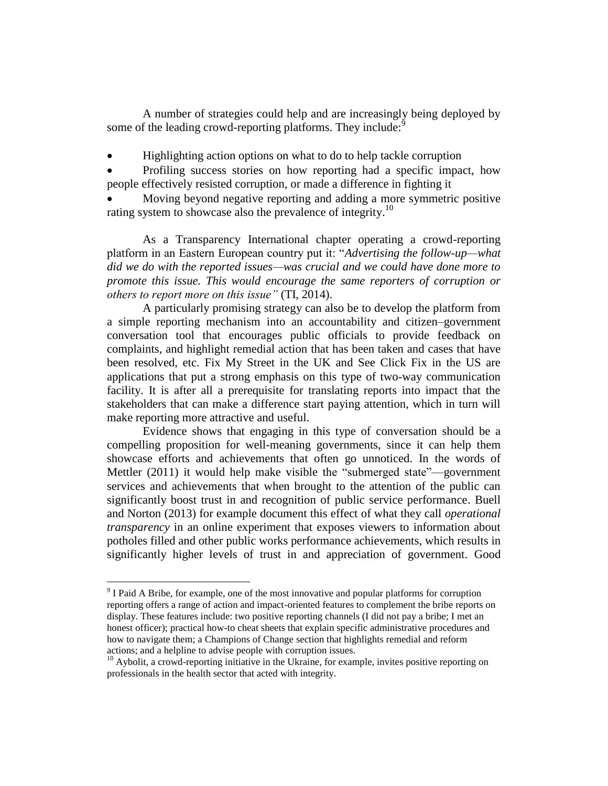A number of strategies could help and are increasingly being deployed by some of the leading crowd-reporting platforms. They include:<sup>9</sup>

Highlighting action options on what to do to help tackle corruption

 Profiling success stories on how reporting had a specific impact, how people effectively resisted corruption, or made a difference in fighting it

 Moving beyond negative reporting and adding a more symmetric positive rating system to showcase also the prevalence of integrity.<sup>10</sup>

As a Transparency International chapter operating a crowd-reporting platform in an Eastern European country put it: "*Advertising the follow-up—what did we do with the reported issues—was crucial and we could have done more to promote this issue. This would encourage the same reporters of corruption or others to report more on this issue"* (TI, 2014).

A particularly promising strategy can also be to develop the platform from a simple reporting mechanism into an accountability and citizen–government conversation tool that encourages public officials to provide feedback on complaints, and highlight remedial action that has been taken and cases that have been resolved, etc. Fix My Street in the UK and See Click Fix in the US are applications that put a strong emphasis on this type of two-way communication facility. It is after all a prerequisite for translating reports into impact that the stakeholders that can make a difference start paying attention, which in turn will make reporting more attractive and useful.

Evidence shows that engaging in this type of conversation should be a compelling proposition for well-meaning governments, since it can help them showcase efforts and achievements that often go unnoticed. In the words of Mettler (2011) it would help make visible the "submerged state"—government services and achievements that when brought to the attention of the public can significantly boost trust in and recognition of public service performance. Buell and Norton (2013) for example document this effect of what they call *operational transparency* in an online experiment that exposes viewers to information about potholes filled and other public works performance achievements, which results in significantly higher levels of trust in and appreciation of government. Good

 $9$  I Paid A Bribe, for example, one of the most innovative and popular platforms for corruption reporting offers a range of action and impact-oriented features to complement the bribe reports on display. These features include: two positive reporting channels (I did not pay a bribe; I met an honest officer); practical how-to cheat sheets that explain specific administrative procedures and how to navigate them; a Champions of Change section that highlights remedial and reform actions; and a helpline to advise people with corruption issues.

 $10$  Aybolit, a crowd-reporting initiative in the Ukraine, for example, invites positive reporting on professionals in the health sector that acted with integrity.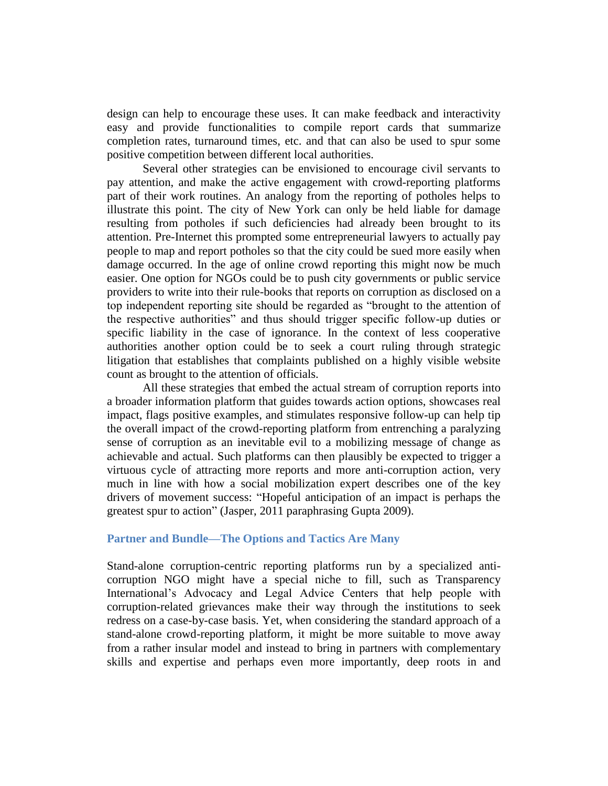design can help to encourage these uses. It can make feedback and interactivity easy and provide functionalities to compile report cards that summarize completion rates, turnaround times, etc. and that can also be used to spur some positive competition between different local authorities.

Several other strategies can be envisioned to encourage civil servants to pay attention, and make the active engagement with crowd-reporting platforms part of their work routines. An analogy from the reporting of potholes helps to illustrate this point. The city of New York can only be held liable for damage resulting from potholes if such deficiencies had already been brought to its attention. Pre-Internet this prompted some entrepreneurial lawyers to actually pay people to map and report potholes so that the city could be sued more easily when damage occurred. In the age of online crowd reporting this might now be much easier. One option for NGOs could be to push city governments or public service providers to write into their rule-books that reports on corruption as disclosed on a top independent reporting site should be regarded as "brought to the attention of the respective authorities" and thus should trigger specific follow-up duties or specific liability in the case of ignorance. In the context of less cooperative authorities another option could be to seek a court ruling through strategic litigation that establishes that complaints published on a highly visible website count as brought to the attention of officials.

All these strategies that embed the actual stream of corruption reports into a broader information platform that guides towards action options, showcases real impact, flags positive examples, and stimulates responsive follow-up can help tip the overall impact of the crowd-reporting platform from entrenching a paralyzing sense of corruption as an inevitable evil to a mobilizing message of change as achievable and actual. Such platforms can then plausibly be expected to trigger a virtuous cycle of attracting more reports and more anti-corruption action, very much in line with how a social mobilization expert describes one of the key drivers of movement success: "Hopeful anticipation of an impact is perhaps the greatest spur to action" (Jasper, 2011 paraphrasing Gupta 2009).

## **Partner and Bundle—The Options and Tactics Are Many**

Stand-alone corruption-centric reporting platforms run by a specialized anticorruption NGO might have a special niche to fill, such as Transparency International's Advocacy and Legal Advice Centers that help people with corruption-related grievances make their way through the institutions to seek redress on a case-by-case basis. Yet, when considering the standard approach of a stand-alone crowd-reporting platform, it might be more suitable to move away from a rather insular model and instead to bring in partners with complementary skills and expertise and perhaps even more importantly, deep roots in and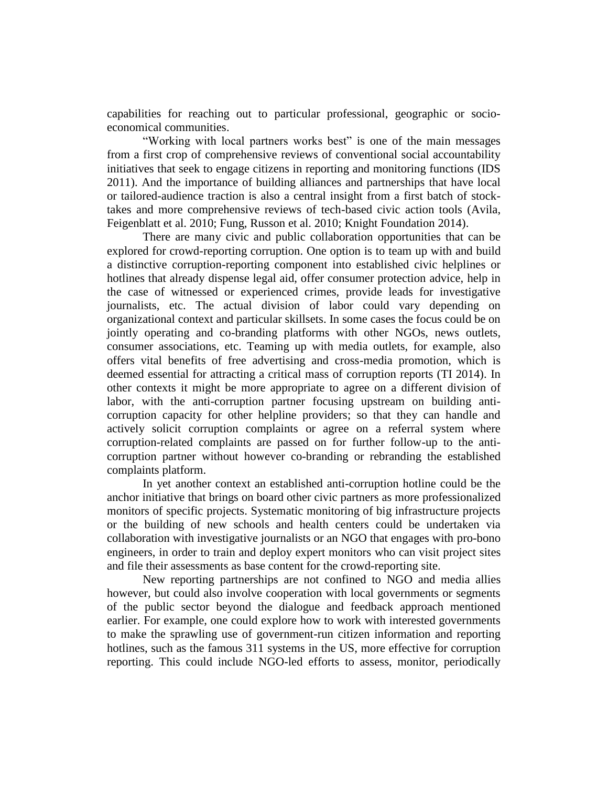capabilities for reaching out to particular professional, geographic or socioeconomical communities.

"Working with local partners works best" is one of the main messages from a first crop of comprehensive reviews of conventional social accountability initiatives that seek to engage citizens in reporting and monitoring functions (IDS 2011). And the importance of building alliances and partnerships that have local or tailored-audience traction is also a central insight from a first batch of stocktakes and more comprehensive reviews of tech-based civic action tools (Avila, Feigenblatt et al. 2010; Fung, Russon et al. 2010; Knight Foundation 2014).

There are many civic and public collaboration opportunities that can be explored for crowd-reporting corruption. One option is to team up with and build a distinctive corruption-reporting component into established civic helplines or hotlines that already dispense legal aid, offer consumer protection advice, help in the case of witnessed or experienced crimes, provide leads for investigative journalists, etc. The actual division of labor could vary depending on organizational context and particular skillsets. In some cases the focus could be on jointly operating and co-branding platforms with other NGOs, news outlets, consumer associations, etc. Teaming up with media outlets, for example, also offers vital benefits of free advertising and cross-media promotion, which is deemed essential for attracting a critical mass of corruption reports (TI 2014). In other contexts it might be more appropriate to agree on a different division of labor, with the anti-corruption partner focusing upstream on building anticorruption capacity for other helpline providers; so that they can handle and actively solicit corruption complaints or agree on a referral system where corruption-related complaints are passed on for further follow-up to the anticorruption partner without however co-branding or rebranding the established complaints platform.

In yet another context an established anti-corruption hotline could be the anchor initiative that brings on board other civic partners as more professionalized monitors of specific projects. Systematic monitoring of big infrastructure projects or the building of new schools and health centers could be undertaken via collaboration with investigative journalists or an NGO that engages with pro-bono engineers, in order to train and deploy expert monitors who can visit project sites and file their assessments as base content for the crowd-reporting site.

New reporting partnerships are not confined to NGO and media allies however, but could also involve cooperation with local governments or segments of the public sector beyond the dialogue and feedback approach mentioned earlier. For example, one could explore how to work with interested governments to make the sprawling use of government-run citizen information and reporting hotlines, such as the famous 311 systems in the US, more effective for corruption reporting. This could include NGO-led efforts to assess, monitor, periodically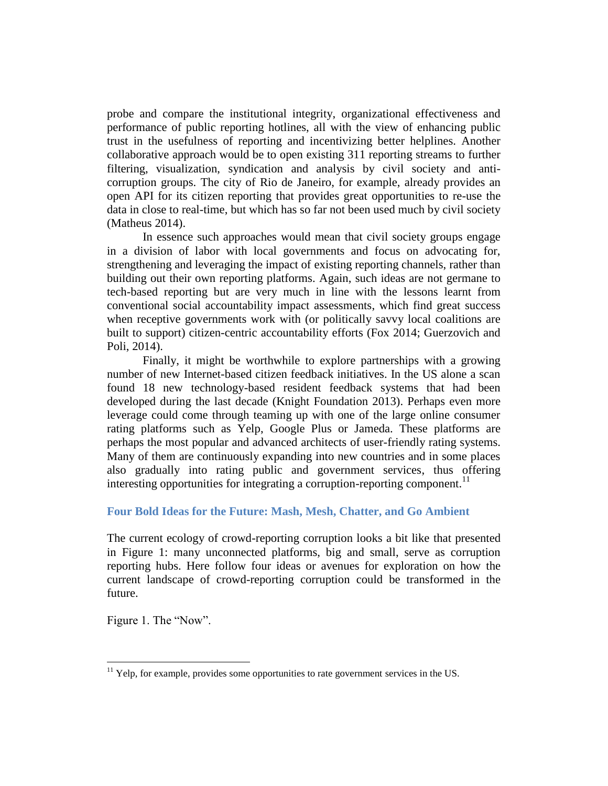probe and compare the institutional integrity, organizational effectiveness and performance of public reporting hotlines, all with the view of enhancing public trust in the usefulness of reporting and incentivizing better helplines. Another collaborative approach would be to open existing 311 reporting streams to further filtering, visualization, syndication and analysis by civil society and anticorruption groups. The city of Rio de Janeiro, for example, already provides an open API for its citizen reporting that provides great opportunities to re-use the data in close to real-time, but which has so far not been used much by civil society (Matheus 2014).

In essence such approaches would mean that civil society groups engage in a division of labor with local governments and focus on advocating for, strengthening and leveraging the impact of existing reporting channels, rather than building out their own reporting platforms. Again, such ideas are not germane to tech-based reporting but are very much in line with the lessons learnt from conventional social accountability impact assessments, which find great success when receptive governments work with (or politically savvy local coalitions are built to support) citizen-centric accountability efforts (Fox 2014; Guerzovich and Poli, 2014).

Finally, it might be worthwhile to explore partnerships with a growing number of new Internet-based citizen feedback initiatives. In the US alone a scan found 18 new technology-based resident feedback systems that had been developed during the last decade (Knight Foundation 2013). Perhaps even more leverage could come through teaming up with one of the large online consumer rating platforms such as Yelp, Google Plus or Jameda. These platforms are perhaps the most popular and advanced architects of user-friendly rating systems. Many of them are continuously expanding into new countries and in some places also gradually into rating public and government services, thus offering interesting opportunities for integrating a corruption-reporting component.<sup>11</sup>

### **Four Bold Ideas for the Future: Mash, Mesh, Chatter, and Go Ambient**

The current ecology of crowd-reporting corruption looks a bit like that presented in Figure 1: many unconnected platforms, big and small, serve as corruption reporting hubs. Here follow four ideas or avenues for exploration on how the current landscape of crowd-reporting corruption could be transformed in the future.

Figure 1. The "Now".

 $11$  Yelp, for example, provides some opportunities to rate government services in the US.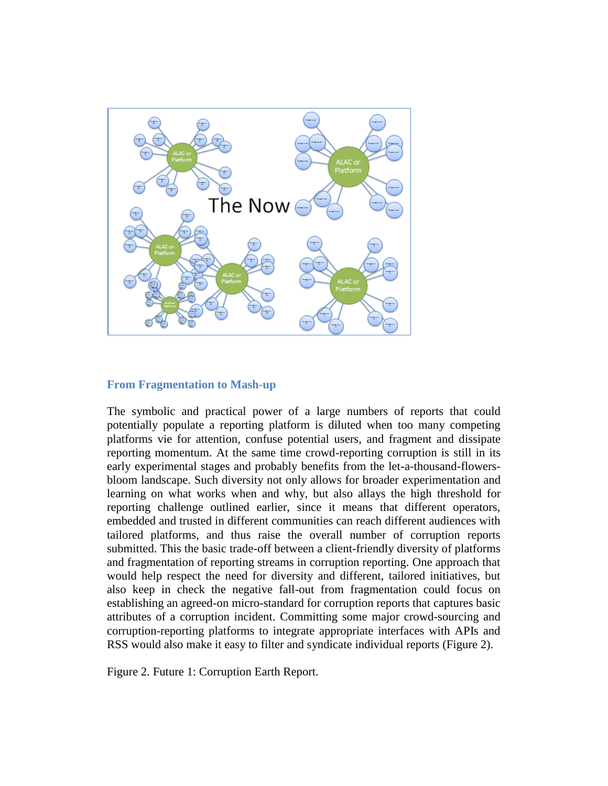

## **From Fragmentation to Mash-up**

The symbolic and practical power of a large numbers of reports that could potentially populate a reporting platform is diluted when too many competing platforms vie for attention, confuse potential users, and fragment and dissipate reporting momentum. At the same time crowd-reporting corruption is still in its early experimental stages and probably benefits from the let-a-thousand-flowersbloom landscape. Such diversity not only allows for broader experimentation and learning on what works when and why, but also allays the high threshold for reporting challenge outlined earlier, since it means that different operators, embedded and trusted in different communities can reach different audiences with tailored platforms, and thus raise the overall number of corruption reports submitted. This the basic trade-off between a client-friendly diversity of platforms and fragmentation of reporting streams in corruption reporting. One approach that would help respect the need for diversity and different, tailored initiatives, but also keep in check the negative fall-out from fragmentation could focus on establishing an agreed-on micro-standard for corruption reports that captures basic attributes of a corruption incident. Committing some major crowd-sourcing and corruption-reporting platforms to integrate appropriate interfaces with APIs and RSS would also make it easy to filter and syndicate individual reports (Figure 2).

Figure 2. Future 1: Corruption Earth Report.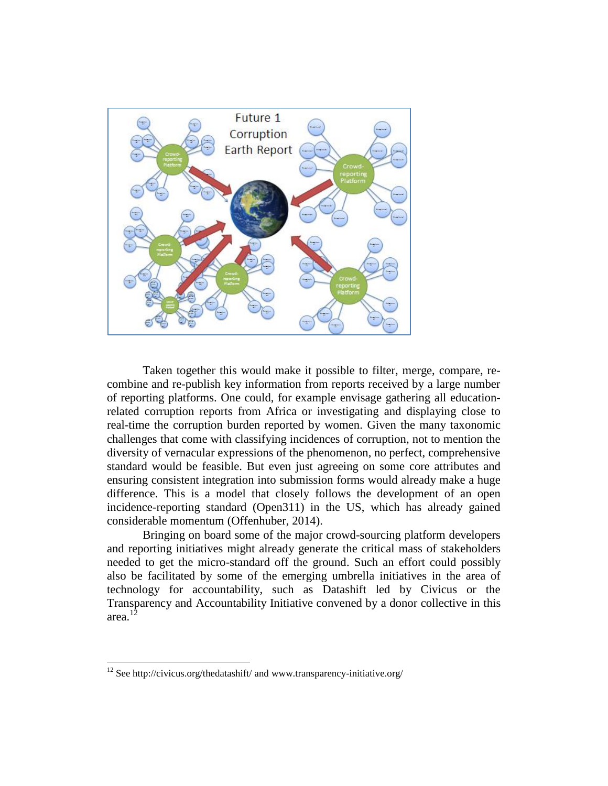

Taken together this would make it possible to filter, merge, compare, recombine and re-publish key information from reports received by a large number of reporting platforms. One could, for example envisage gathering all educationrelated corruption reports from Africa or investigating and displaying close to real-time the corruption burden reported by women. Given the many taxonomic challenges that come with classifying incidences of corruption, not to mention the diversity of vernacular expressions of the phenomenon, no perfect, comprehensive standard would be feasible. But even just agreeing on some core attributes and ensuring consistent integration into submission forms would already make a huge difference. This is a model that closely follows the development of an open incidence-reporting standard (Open311) in the US, which has already gained considerable momentum (Offenhuber, 2014).

Bringing on board some of the major crowd-sourcing platform developers and reporting initiatives might already generate the critical mass of stakeholders needed to get the micro-standard off the ground. Such an effort could possibly also be facilitated by some of the emerging umbrella initiatives in the area of technology for accountability, such as Datashift led by Civicus or the Transparency and Accountability Initiative convened by a donor collective in this area. 12

 $12$  See http://civicus.org/thedatashift/ and www.transparency-initiative.org/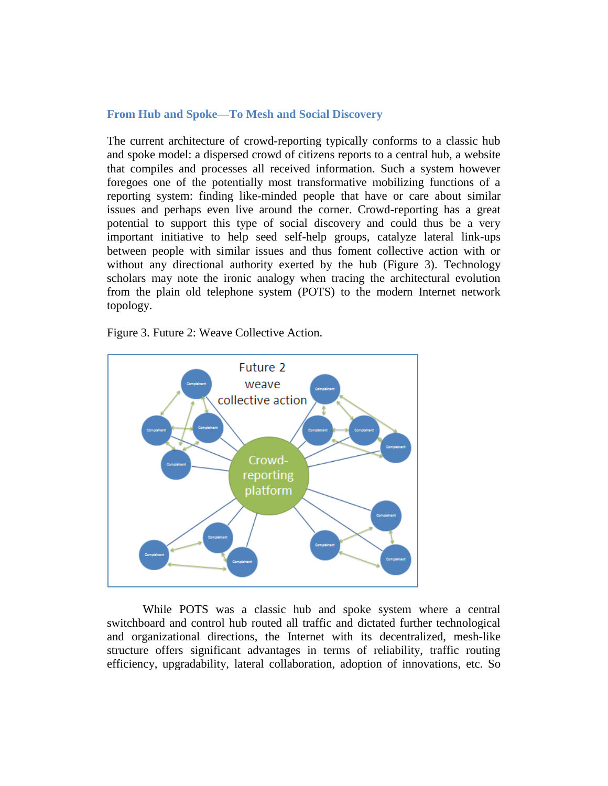### **From Hub and Spoke—To Mesh and Social Discovery**

The current architecture of crowd-reporting typically conforms to a classic hub and spoke model: a dispersed crowd of citizens reports to a central hub, a website that compiles and processes all received information. Such a system however foregoes one of the potentially most transformative mobilizing functions of a reporting system: finding like-minded people that have or care about similar issues and perhaps even live around the corner. Crowd-reporting has a great potential to support this type of social discovery and could thus be a very important initiative to help seed self-help groups, catalyze lateral link-ups between people with similar issues and thus foment collective action with or without any directional authority exerted by the hub (Figure 3). Technology scholars may note the ironic analogy when tracing the architectural evolution from the plain old telephone system (POTS) to the modern Internet network topology.

Figure 3. Future 2: Weave Collective Action.



While POTS was a classic hub and spoke system where a central switchboard and control hub routed all traffic and dictated further technological and organizational directions, the Internet with its decentralized, mesh-like structure offers significant advantages in terms of reliability, traffic routing efficiency, upgradability, lateral collaboration, adoption of innovations, etc. So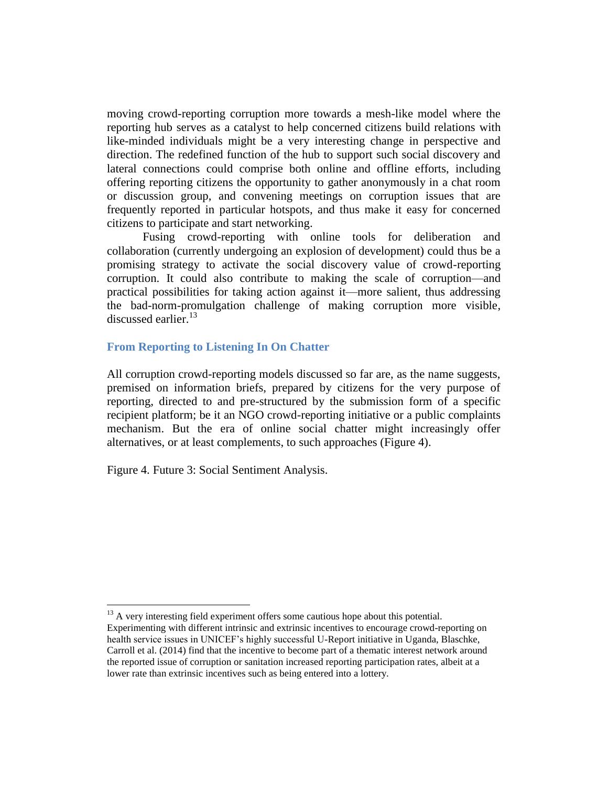moving crowd-reporting corruption more towards a mesh-like model where the reporting hub serves as a catalyst to help concerned citizens build relations with like-minded individuals might be a very interesting change in perspective and direction. The redefined function of the hub to support such social discovery and lateral connections could comprise both online and offline efforts, including offering reporting citizens the opportunity to gather anonymously in a chat room or discussion group, and convening meetings on corruption issues that are frequently reported in particular hotspots, and thus make it easy for concerned citizens to participate and start networking.

Fusing crowd-reporting with online tools for deliberation and collaboration (currently undergoing an explosion of development) could thus be a promising strategy to activate the social discovery value of crowd-reporting corruption. It could also contribute to making the scale of corruption—and practical possibilities for taking action against it—more salient, thus addressing the bad-norm-promulgation challenge of making corruption more visible, discussed earlier. 13

### **From Reporting to Listening In On Chatter**

All corruption crowd-reporting models discussed so far are, as the name suggests, premised on information briefs, prepared by citizens for the very purpose of reporting, directed to and pre-structured by the submission form of a specific recipient platform; be it an NGO crowd-reporting initiative or a public complaints mechanism. But the era of online social chatter might increasingly offer alternatives, or at least complements, to such approaches (Figure 4).

Figure 4. Future 3: Social Sentiment Analysis.

 $13$  A very interesting field experiment offers some cautious hope about this potential. Experimenting with different intrinsic and extrinsic incentives to encourage crowd-reporting on health service issues in UNICEF's highly successful U-Report initiative in Uganda, Blaschke, Carroll et al. (2014) find that the incentive to become part of a thematic interest network around the reported issue of corruption or sanitation increased reporting participation rates, albeit at a lower rate than extrinsic incentives such as being entered into a lottery.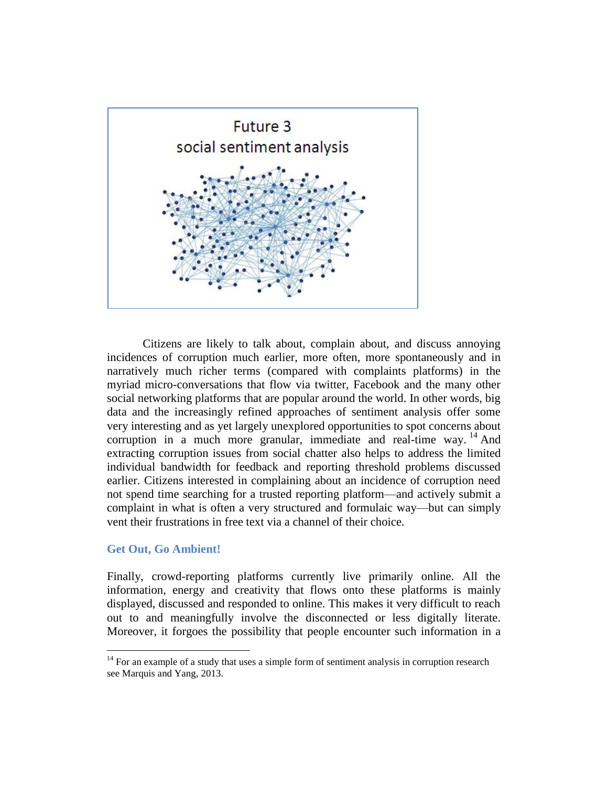

Citizens are likely to talk about, complain about, and discuss annoying incidences of corruption much earlier, more often, more spontaneously and in narratively much richer terms (compared with complaints platforms) in the myriad micro-conversations that flow via twitter, Facebook and the many other social networking platforms that are popular around the world. In other words, big data and the increasingly refined approaches of sentiment analysis offer some very interesting and as yet largely unexplored opportunities to spot concerns about corruption in a much more granular, immediate and real-time way.  $^{14}$  And extracting corruption issues from social chatter also helps to address the limited individual bandwidth for feedback and reporting threshold problems discussed earlier. Citizens interested in complaining about an incidence of corruption need not spend time searching for a trusted reporting platform—and actively submit a complaint in what is often a very structured and formulaic way—but can simply vent their frustrations in free text via a channel of their choice.

### **Get Out, Go Ambient!**

 $\overline{a}$ 

Finally, crowd-reporting platforms currently live primarily online. All the information, energy and creativity that flows onto these platforms is mainly displayed, discussed and responded to online. This makes it very difficult to reach out to and meaningfully involve the disconnected or less digitally literate. Moreover, it forgoes the possibility that people encounter such information in a

 $14$  For an example of a study that uses a simple form of sentiment analysis in corruption research see Marquis and Yang, 2013.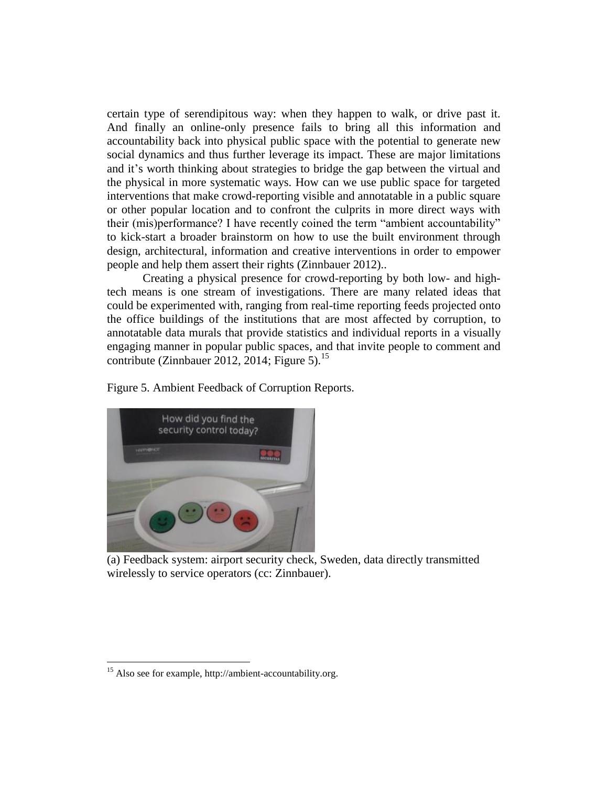certain type of serendipitous way: when they happen to walk, or drive past it. And finally an online-only presence fails to bring all this information and accountability back into physical public space with the potential to generate new social dynamics and thus further leverage its impact. These are major limitations and it's worth thinking about strategies to bridge the gap between the virtual and the physical in more systematic ways. How can we use public space for targeted interventions that make crowd-reporting visible and annotatable in a public square or other popular location and to confront the culprits in more direct ways with their (mis)performance? I have recently coined the term "ambient accountability" to kick-start a broader brainstorm on how to use the built environment through design, architectural, information and creative interventions in order to empower people and help them assert their rights (Zinnbauer 2012)..

Creating a physical presence for crowd-reporting by both low- and hightech means is one stream of investigations. There are many related ideas that could be experimented with, ranging from real-time reporting feeds projected onto the office buildings of the institutions that are most affected by corruption, to annotatable data murals that provide statistics and individual reports in a visually engaging manner in popular public spaces, and that invite people to comment and contribute (Zinnbauer 2012, 2014; Figure 5).<sup>15</sup>

Figure 5. Ambient Feedback of Corruption Reports.



(a) Feedback system: airport security check, Sweden, data directly transmitted wirelessly to service operators (cc: Zinnbauer).

<sup>&</sup>lt;sup>15</sup> Also see for example, http://ambient-accountability.org.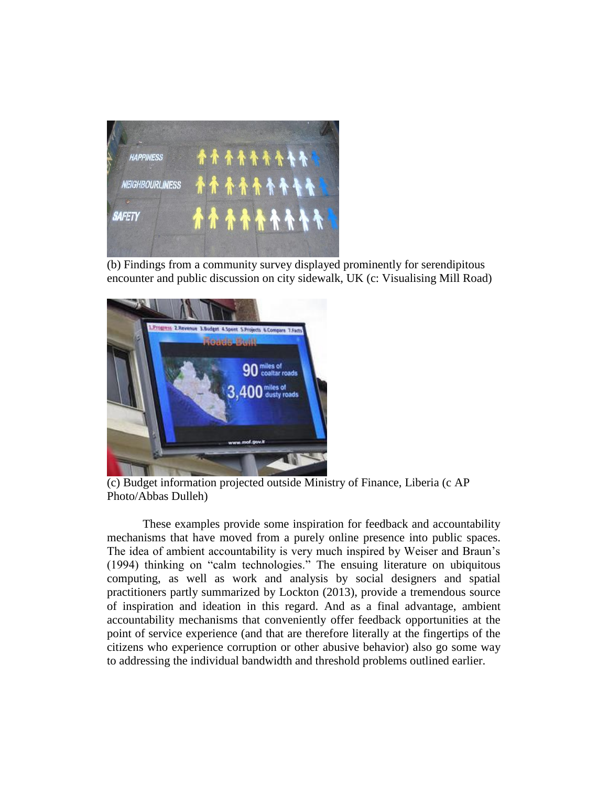

(b) Findings from a community survey displayed prominently for serendipitous encounter and public discussion on city sidewalk, UK (c: Visualising Mill Road)



(c) Budget information projected outside Ministry of Finance, Liberia (c AP Photo/Abbas Dulleh)

These examples provide some inspiration for feedback and accountability mechanisms that have moved from a purely online presence into public spaces. The idea of ambient accountability is very much inspired by Weiser and Braun's (1994) thinking on "calm technologies." The ensuing literature on ubiquitous computing, as well as work and analysis by social designers and spatial practitioners partly summarized by Lockton (2013), provide a tremendous source of inspiration and ideation in this regard. And as a final advantage, ambient accountability mechanisms that conveniently offer feedback opportunities at the point of service experience (and that are therefore literally at the fingertips of the citizens who experience corruption or other abusive behavior) also go some way to addressing the individual bandwidth and threshold problems outlined earlier.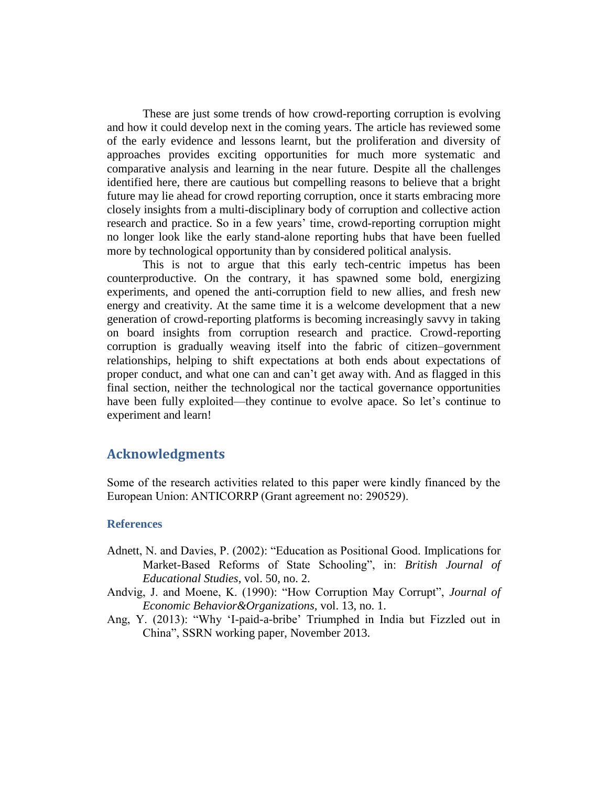These are just some trends of how crowd-reporting corruption is evolving and how it could develop next in the coming years. The article has reviewed some of the early evidence and lessons learnt, but the proliferation and diversity of approaches provides exciting opportunities for much more systematic and comparative analysis and learning in the near future. Despite all the challenges identified here, there are cautious but compelling reasons to believe that a bright future may lie ahead for crowd reporting corruption, once it starts embracing more closely insights from a multi-disciplinary body of corruption and collective action research and practice. So in a few years' time, crowd-reporting corruption might no longer look like the early stand-alone reporting hubs that have been fuelled more by technological opportunity than by considered political analysis.

This is not to argue that this early tech-centric impetus has been counterproductive. On the contrary, it has spawned some bold, energizing experiments, and opened the anti-corruption field to new allies, and fresh new energy and creativity. At the same time it is a welcome development that a new generation of crowd-reporting platforms is becoming increasingly savvy in taking on board insights from corruption research and practice. Crowd-reporting corruption is gradually weaving itself into the fabric of citizen–government relationships, helping to shift expectations at both ends about expectations of proper conduct, and what one can and can't get away with. And as flagged in this final section, neither the technological nor the tactical governance opportunities have been fully exploited—they continue to evolve apace. So let's continue to experiment and learn!

## **Acknowledgments**

Some of the research activities related to this paper were kindly financed by the European Union: ANTICORRP (Grant agreement no: 290529).

#### **References**

- Adnett, N. and Davies, P. (2002): "Education as Positional Good. Implications for Market-Based Reforms of State Schooling", in: *British Journal of Educational Studies*, vol. 50, no. 2.
- Andvig, J. and Moene, K. (1990): "How Corruption May Corrupt", *Journal of Economic Behavior&Organizations,* vol. 13, no. 1.
- Ang, Y. (2013): "Why 'I-paid-a-bribe' Triumphed in India but Fizzled out in China", SSRN working paper, November 2013.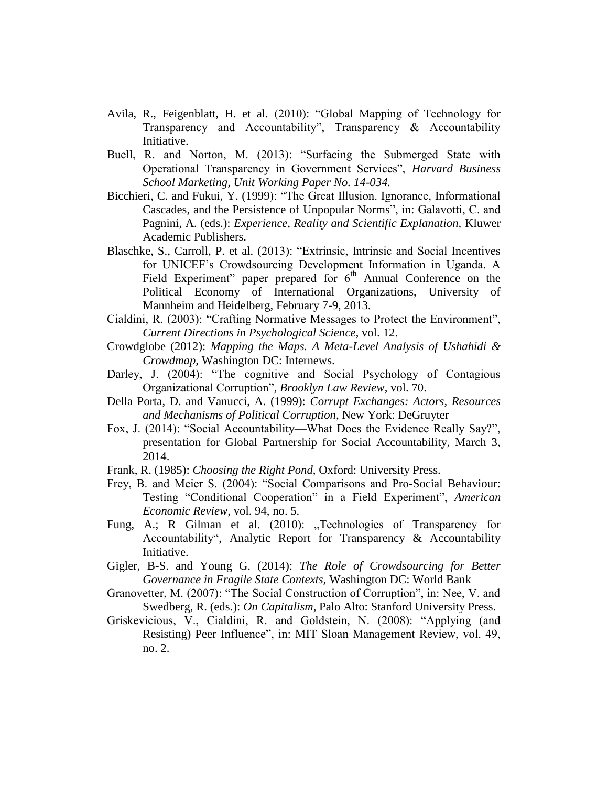- Avila, R., Feigenblatt, H. et al. (2010): "Global Mapping of Technology for Transparency and Accountability", Transparency & Accountability Initiative.
- Buell, R. and Norton, M. (2013): "Surfacing the Submerged State with Operational Transparency in Government Services", *Harvard Business School Marketing, Unit Working Paper No. 14-034.*
- Bicchieri, C. and Fukui, Y. (1999): "The Great Illusion. Ignorance, Informational Cascades, and the Persistence of Unpopular Norms", in: Galavotti, C. and Pagnini, A. (eds.): *Experience, Reality and Scientific Explanation,* Kluwer Academic Publishers.
- Blaschke, S., Carroll, P. et al. (2013): "Extrinsic, Intrinsic and Social Incentives for UNICEF's Crowdsourcing Development Information in Uganda. A Field Experiment" paper prepared for  $6<sup>th</sup>$  Annual Conference on the Political Economy of International Organizations, University of Mannheim and Heidelberg, February 7-9, 2013.
- Cialdini, R. (2003): "Crafting Normative Messages to Protect the Environment", *Current Directions in Psychological Science*, vol. 12.
- Crowdglobe (2012): *Mapping the Maps. A Meta-Level Analysis of Ushahidi & Crowdmap,* Washington DC: Internews.
- Darley, J. (2004): "The cognitive and Social Psychology of Contagious Organizational Corruption", *Brooklyn Law Review*, vol. 70.
- Della Porta, D. and Vanucci, A. (1999): *Corrupt Exchanges: Actors, Resources and Mechanisms of Political Corruption,* New York: DeGruyter
- Fox, J. (2014): "Social Accountability—What Does the Evidence Really Say?", presentation for Global Partnership for Social Accountability, March 3, 2014.
- Frank, R. (1985): *Choosing the Right Pond*, Oxford: University Press.
- Frey, B. and Meier S. (2004): "Social Comparisons and Pro-Social Behaviour: Testing "Conditional Cooperation" in a Field Experiment", *American Economic Review,* vol. 94, no. 5.
- Fung, A.; R Gilman et al. (2010): "Technologies of Transparency for Accountability", Analytic Report for Transparency & Accountability Initiative.
- Gigler, B-S. and Young G. (2014): *The Role of Crowdsourcing for Better Governance in Fragile State Contexts,* Washington DC: World Bank
- Granovetter, M. (2007): "The Social Construction of Corruption", in: Nee, V. and Swedberg, R. (eds.): *On Capitalism*, Palo Alto: Stanford University Press.
- Griskevicious, V., Cialdini, R. and Goldstein, N. (2008): "Applying (and Resisting) Peer Influence", in: MIT Sloan Management Review, vol. 49, no. 2.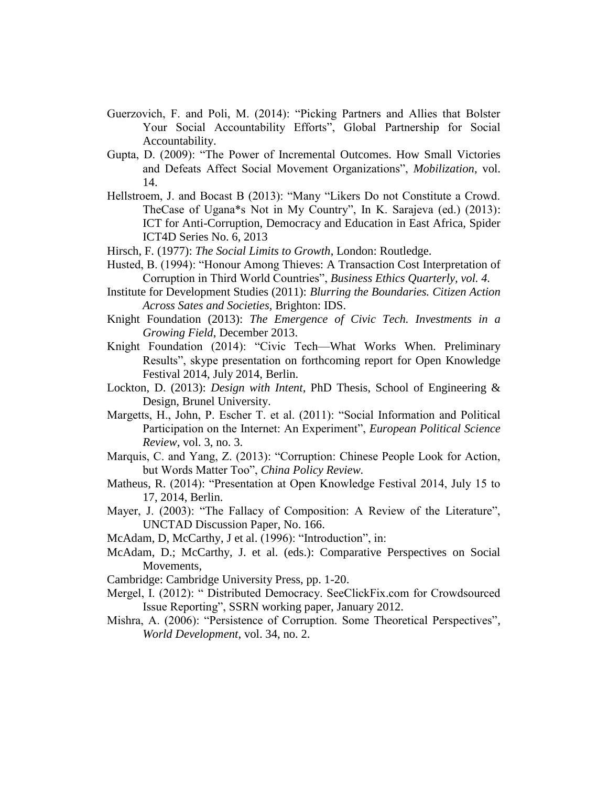- Guerzovich, F. and Poli, M. (2014): "Picking Partners and Allies that Bolster Your Social Accountability Efforts", Global Partnership for Social Accountability.
- Gupta, D. (2009): "The Power of Incremental Outcomes. How Small Victories and Defeats Affect Social Movement Organizations", *Mobilization*, vol. 14.
- Hellstroem, J. and Bocast B (2013): "Many "Likers Do not Constitute a Crowd. TheCase of Ugana\*s Not in My Country", In K. Sarajeva (ed.) (2013): ICT for Anti-Corruption, Democracy and Education in East Africa, Spider ICT4D Series No. 6, 2013
- Hirsch, F. (1977): *The Social Limits to Growth*, London: Routledge.
- Husted, B. (1994): "Honour Among Thieves: A Transaction Cost Interpretation of Corruption in Third World Countries", *Business Ethics Quarterly, vol. 4.*
- Institute for Development Studies (2011): *Blurring the Boundaries. Citizen Action Across Sates and Societies,* Brighton: IDS.
- Knight Foundation (2013): *The Emergence of Civic Tech. Investments in a Growing Field*, December 2013.
- Knight Foundation (2014): "Civic Tech—What Works When. Preliminary Results", skype presentation on forthcoming report for Open Knowledge Festival 2014, July 2014, Berlin.
- Lockton, D. (2013): *Design with Intent*, PhD Thesis, School of Engineering & Design, Brunel University.
- Margetts, H., John, P. Escher T. et al. (2011): "Social Information and Political Participation on the Internet: An Experiment", *European Political Science Review*, vol. 3, no. 3.
- Marquis, C. and Yang, Z. (2013): "Corruption: Chinese People Look for Action, but Words Matter Too", *China Policy Review.*
- Matheus, R. (2014): "Presentation at Open Knowledge Festival 2014, July 15 to 17, 2014, Berlin.
- Mayer, J. (2003): "The Fallacy of Composition: A Review of the Literature", UNCTAD Discussion Paper, No. 166.
- McAdam, D, McCarthy, J et al. (1996): "Introduction", in:
- McAdam, D.; McCarthy, J. et al. (eds.): Comparative Perspectives on Social Movements,
- Cambridge: Cambridge University Press, pp. 1-20.
- Mergel, I. (2012): " Distributed Democracy. SeeClickFix.com for Crowdsourced Issue Reporting", SSRN working paper, January 2012.
- Mishra, A. (2006): "Persistence of Corruption. Some Theoretical Perspectives", *World Development*, vol. 34, no. 2.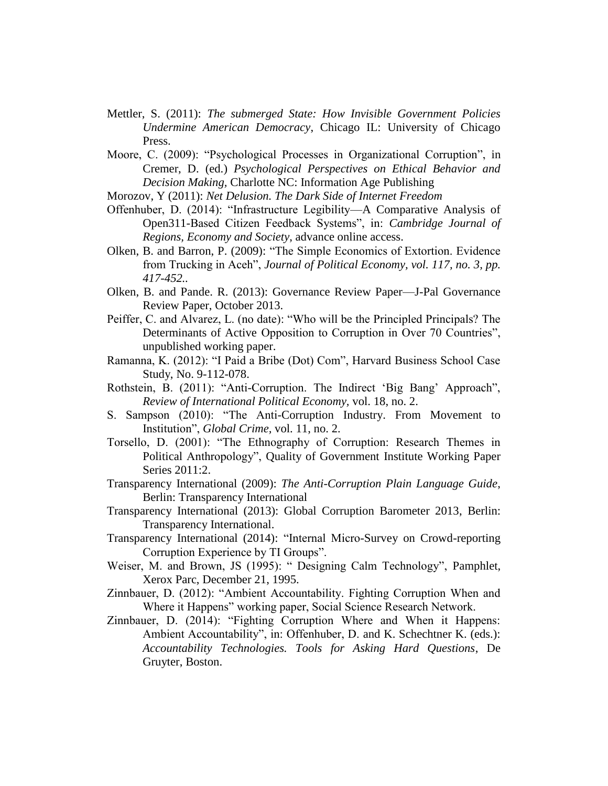- Mettler, S. (2011): *The submerged State: How Invisible Government Policies Undermine American Democracy*, Chicago IL: University of Chicago Press.
- Moore, C. (2009): "Psychological Processes in Organizational Corruption", in Cremer, D. (ed.) *Psychological Perspectives on Ethical Behavior and Decision Making,* Charlotte NC: Information Age Publishing
- Morozov, Y (2011): *Net Delusion. The Dark Side of Internet Freedom*
- Offenhuber, D. (2014): "Infrastructure Legibility—A Comparative Analysis of Open311-Based Citizen Feedback Systems", in: *Cambridge Journal of Regions, Economy and Society*, advance online access.
- Olken, B. and Barron, P. (2009): "The Simple Economics of Extortion. Evidence from Trucking in Aceh", *Journal of Political Economy, vol. 117, no. 3, pp. 417-452..*
- Olken, B. and Pande. R. (2013): Governance Review Paper—J-Pal Governance Review Paper, October 2013.
- Peiffer, C. and Alvarez, L. (no date): "Who will be the Principled Principals? The Determinants of Active Opposition to Corruption in Over 70 Countries", unpublished working paper.
- Ramanna, K. (2012): "I Paid a Bribe (Dot) Com", Harvard Business School Case Study, No. 9-112-078.
- Rothstein, B. (2011): "Anti-Corruption. The Indirect 'Big Bang' Approach", *Review of International Political Economy,* vol. 18, no. 2.
- S. Sampson (2010): "The Anti-Corruption Industry. From Movement to Institution", *Global Crime,* vol. 11, no. 2.
- Torsello, D. (2001): "The Ethnography of Corruption: Research Themes in Political Anthropology", Quality of Government Institute Working Paper Series 2011:2.
- Transparency International (2009): *The Anti-Corruption Plain Language Guide*, Berlin: Transparency International
- Transparency International (2013): Global Corruption Barometer 2013, Berlin: Transparency International.
- Transparency International (2014): "Internal Micro-Survey on Crowd-reporting Corruption Experience by TI Groups".
- Weiser, M. and Brown, JS (1995): " Designing Calm Technology", Pamphlet, Xerox Parc, December 21, 1995.
- Zinnbauer, D. (2012): "Ambient Accountability. Fighting Corruption When and Where it Happens" working paper, Social Science Research Network.
- Zinnbauer, D. (2014): "Fighting Corruption Where and When it Happens: Ambient Accountability", in: Offenhuber, D. and K. Schechtner K. (eds.): *Accountability Technologies. Tools for Asking Hard Questions*, De Gruyter, Boston.